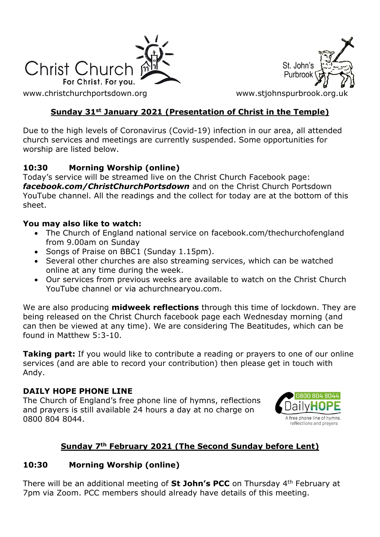

[www.christchurchportsdown.org](http://www.christchurchportsdown.org/) www.stjohnspurbrook.org



### **Sunday 31st January 2021 (Presentation of Christ in the Temple)**

Due to the high levels of Coronavirus (Covid-19) infection in our area, all attended church services and meetings are currently suspended. Some opportunities for worship are listed below.

### **10:30 Morning Worship (online)**

Today's service will be streamed live on the Christ Church Facebook page: *[facebook.com/ChristChurchPortsdown](http://www.facebook.com/ChristChurchPortsdown%20at%2010.30)* and on the Christ Church Portsdown YouTube channel. All the readings and the collect for today are at the bottom of this sheet.

#### **You may also like to watch:**

- The Church of England national service on facebook.com/thechurchofengland from 9.00am on Sunday
- Songs of Praise on BBC1 (Sunday 1.15pm).
- Several other churches are also streaming services, which can be watched online at any time during the week.
- Our services from previous weeks are available to watch on the Christ Church YouTube channel or via achurchnearyou.com.

We are also producing **midweek reflections** through this time of lockdown. They are being released on the Christ Church facebook page each Wednesday morning (and can then be viewed at any time). We are considering The Beatitudes, which can be found in Matthew 5:3-10.

**Taking part:** If you would like to contribute a reading or prayers to one of our online services (and are able to record your contribution) then please get in touch with Andy.

#### **DAILY HOPE PHONE LINE**

The Church of England's free phone line of hymns, reflections and prayers is still available 24 hours a day at no charge on 0800 804 8044.



### **Sunday 7th February 2021 (The Second Sunday before Lent)**

### **10:30 Morning Worship (online)**

There will be an additional meeting of **St John's PCC** on Thursday 4th February at 7pm via Zoom. PCC members should already have details of this meeting.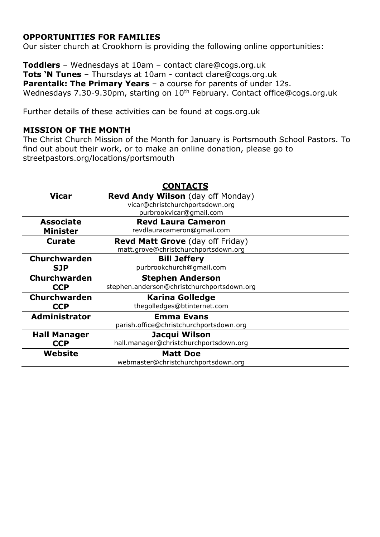### **OPPORTUNITIES FOR FAMILIES**

Our sister church at Crookhorn is providing the following online opportunities:

**Toddlers** – Wednesdays at 10am – contact clare@cogs.org.uk **Tots 'N Tunes** – Thursdays at 10am - contact clare@cogs.org.uk **Parentalk: The Primary Years** – a course for parents of under 12s. Wednesdays 7.30-9.30pm, starting on 10<sup>th</sup> February. Contact [office@cogs.org.uk](mailto:office@cogs.org.uk)

Further details of these activities can be found at cogs.org.uk

#### **MISSION OF THE MONTH**

The Christ Church Mission of the Month for January is Portsmouth School Pastors. To find out about their work, or to make an online donation, please go to streetpastors.org/locations/portsmouth

|                      | <b>CONTACTS</b>                            |
|----------------------|--------------------------------------------|
| <b>Vicar</b>         | Revd Andy Wilson (day off Monday)          |
|                      | vicar@christchurchportsdown.org            |
|                      | purbrookvicar@gmail.com                    |
| <b>Associate</b>     | <b>Revd Laura Cameron</b>                  |
| <b>Minister</b>      | revdlauracameron@gmail.com                 |
| <b>Curate</b>        | <b>Revd Matt Grove</b> (day off Friday)    |
|                      | matt.grove@christchurchportsdown.org       |
| Churchwarden         | <b>Bill Jeffery</b>                        |
| <b>SJP</b>           | purbrookchurch@gmail.com                   |
|                      |                                            |
| <b>Churchwarden</b>  | <b>Stephen Anderson</b>                    |
| <b>CCP</b>           | stephen.anderson@christchurchportsdown.org |
| <b>Churchwarden</b>  | <b>Karina Golledge</b>                     |
| <b>CCP</b>           | thegolledges@btinternet.com                |
| <b>Administrator</b> | <b>Emma Evans</b>                          |
|                      | parish.office@christchurchportsdown.org    |
| <b>Hall Manager</b>  | Jacqui Wilson                              |
| <b>CCP</b>           | hall.manager@christchurchportsdown.org     |
| Website              | <b>Matt Doe</b>                            |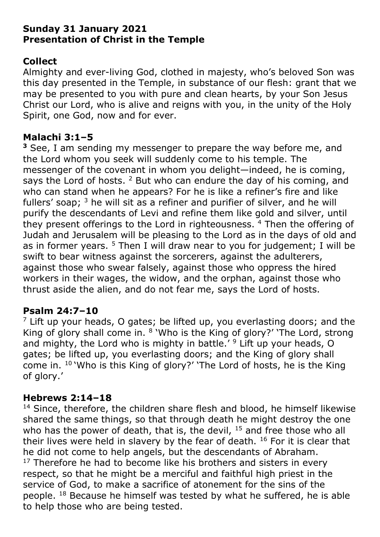## **Sunday 31 January 2021 Presentation of Christ in the Temple**

# **Collect**

Almighty and ever-living God, clothed in majesty, who's beloved Son was this day presented in the Temple, in substance of our flesh: grant that we may be presented to you with pure and clean hearts, by your Son Jesus Christ our Lord, who is alive and reigns with you, in the unity of the Holy Spirit, one God, now and for ever.

## **Malachi 3:1–5**

**<sup>3</sup>** See, I am sending my messenger to prepare the way before me, and the Lord whom you seek will suddenly come to his temple. The messenger of the covenant in whom you delight—indeed, he is coming, says the Lord of hosts.  $2$  But who can endure the day of his coming, and who can stand when he appears? For he is like a refiner's fire and like fullers' soap;  $3$  he will sit as a refiner and purifier of silver, and he will purify the descendants of Levi and refine them like gold and silver, until they present offerings to the Lord in righteousness.<sup>4</sup> Then the offering of Judah and Jerusalem will be pleasing to the Lord as in the days of old and as in former years.  $5$  Then I will draw near to you for judgement; I will be swift to bear witness against the sorcerers, against the adulterers, against those who swear falsely, against those who oppress the hired workers in their wages, the widow, and the orphan, against those who thrust aside the alien, and do not fear me, says the Lord of hosts.

## **Psalm 24:7–10**

 $<sup>7</sup>$  Lift up your heads, O gates; be lifted up, you everlasting doors; and the</sup> King of glory shall come in. <sup>8</sup> 'Who is the King of glory?' 'The Lord, strong and mighty, the Lord who is mighty in battle.<sup> $\prime$  9</sup> Lift up your heads, O gates; be lifted up, you everlasting doors; and the King of glory shall come in. <sup>10</sup> 'Who is this King of glory?' 'The Lord of hosts, he is the King of glory.'

# **Hebrews 2:14–18**

<sup>14</sup> Since, therefore, the children share flesh and blood, he himself likewise shared the same things, so that through death he might destroy the one who has the power of death, that is, the devil,  $15$  and free those who all their lives were held in slavery by the fear of death.  $16$  For it is clear that he did not come to help angels, but the descendants of Abraham.  $17$  Therefore he had to become like his brothers and sisters in every respect, so that he might be a merciful and faithful high priest in the service of God, to make a sacrifice of atonement for the sins of the people. <sup>18</sup> Because he himself was tested by what he suffered, he is able to help those who are being tested.